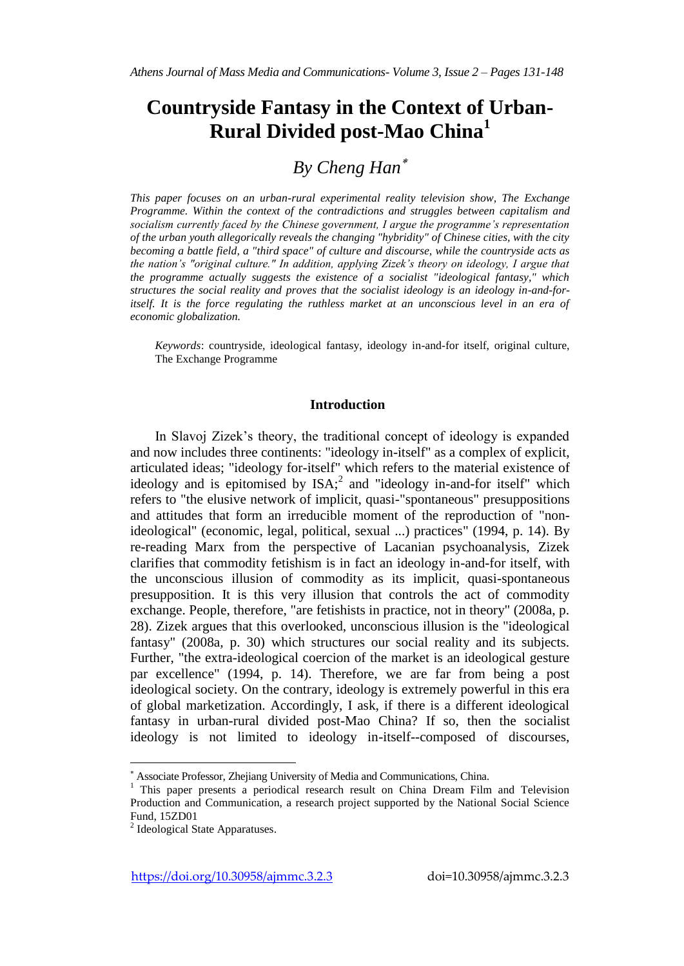# **Countryside Fantasy in the Context of Urban-Rural Divided post-Mao China<sup>1</sup>**

# *By Cheng Han*

*This paper focuses on an urban-rural experimental reality television show, The Exchange Programme. Within the context of the contradictions and struggles between capitalism and socialism currently faced by the Chinese government, I argue the programme's representation of the urban youth allegorically reveals the changing "hybridity" of Chinese cities, with the city becoming a battle field, a "third space" of culture and discourse, while the countryside acts as the nation's "original culture." In addition, applying Zizek's theory on ideology, I argue that the programme actually suggests the existence of a socialist "ideological fantasy," which structures the social reality and proves that the socialist ideology is an ideology in-and-for*itself. It is the force regulating the ruthless market at an unconscious level in an era of *economic globalization.*

*Keywords*: countryside, ideological fantasy, ideology in-and-for itself, original culture, The Exchange Programme

## **Introduction**

In Slavoj Zizek's theory, the traditional concept of ideology is expanded and now includes three continents: "ideology in-itself" as a complex of explicit, articulated ideas; "ideology for-itself" which refers to the material existence of ideology and is epitomised by  $ISA$ ; and "ideology in-and-for itself" which refers to "the elusive network of implicit, quasi-"spontaneous" presuppositions and attitudes that form an irreducible moment of the reproduction of "nonideological" (economic, legal, political, sexual ...) practices" (1994, p. 14). By re-reading Marx from the perspective of Lacanian psychoanalysis, Zizek clarifies that commodity fetishism is in fact an ideology in-and-for itself, with the unconscious illusion of commodity as its implicit, quasi-spontaneous presupposition. It is this very illusion that controls the act of commodity exchange. People, therefore, "are fetishists in practice, not in theory" (2008a, p. 28). Zizek argues that this overlooked, unconscious illusion is the "ideological fantasy" (2008a, p. 30) which structures our social reality and its subjects. Further, "the extra-ideological coercion of the market is an ideological gesture par excellence" (1994, p. 14). Therefore, we are far from being a post ideological society. On the contrary, ideology is extremely powerful in this era of global marketization. Accordingly, I ask, if there is a different ideological fantasy in urban-rural divided post-Mao China? If so, then the socialist ideology is not limited to ideology in-itself--composed of discourses,

Associate Professor, Zhejiang University of Media and Communications, China.

<sup>&</sup>lt;sup>1</sup> This paper presents a periodical research result on China Dream Film and Television Production and Communication, a research project supported by the National Social Science Fund, 15ZD01

<sup>&</sup>lt;sup>2</sup> Ideological State Apparatuses.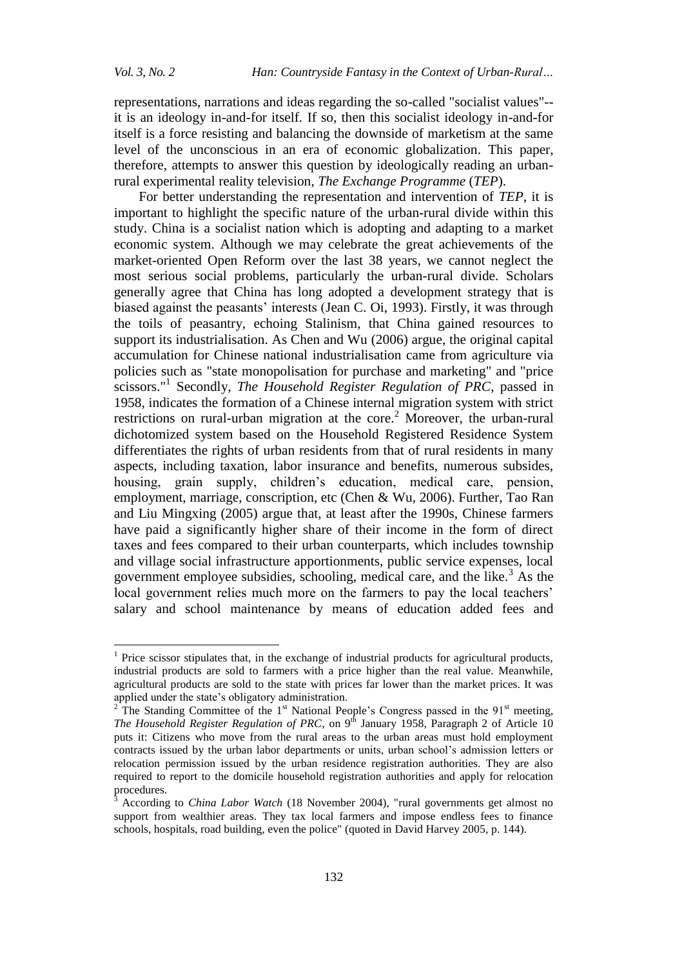$\ddot{\phantom{a}}$ 

representations, narrations and ideas regarding the so-called "socialist values"- it is an ideology in-and-for itself. If so, then this socialist ideology in-and-for itself is a force resisting and balancing the downside of marketism at the same level of the unconscious in an era of economic globalization. This paper, therefore, attempts to answer this question by ideologically reading an urbanrural experimental reality television, *The Exchange Programme* (*TEP*).

For better understanding the representation and intervention of *TEP*, it is important to highlight the specific nature of the urban-rural divide within this study. China is a socialist nation which is adopting and adapting to a market economic system. Although we may celebrate the great achievements of the market-oriented Open Reform over the last 38 years, we cannot neglect the most serious social problems, particularly the urban-rural divide. Scholars generally agree that China has long adopted a development strategy that is biased against the peasants' interests (Jean C. Oi, 1993). Firstly, it was through the toils of peasantry, echoing Stalinism, that China gained resources to support its industrialisation. As Chen and Wu (2006) argue, the original capital accumulation for Chinese national industrialisation came from agriculture via policies such as "state monopolisation for purchase and marketing" and "price scissors."<sup>1</sup> Secondly, *The Household Register Regulation of PRC*, passed in 1958, indicates the formation of a Chinese internal migration system with strict restrictions on rural-urban migration at the core.<sup>2</sup> Moreover, the urban-rural dichotomized system based on the Household Registered Residence System differentiates the rights of urban residents from that of rural residents in many aspects, including taxation, labor insurance and benefits, numerous subsides, housing, grain supply, children's education, medical care, pension, employment, marriage, conscription, etc (Chen & Wu, 2006). Further, Tao Ran and Liu Mingxing (2005) argue that, at least after the 1990s, Chinese farmers have paid a significantly higher share of their income in the form of direct taxes and fees compared to their urban counterparts, which includes township and village social infrastructure apportionments, public service expenses, local government employee subsidies, schooling, medical care, and the like.<sup>3</sup> As the local government relies much more on the farmers to pay the local teachers' salary and school maintenance by means of education added fees and

<sup>&</sup>lt;sup>1</sup> Price scissor stipulates that, in the exchange of industrial products for agricultural products, industrial products are sold to farmers with a price higher than the real value. Meanwhile, agricultural products are sold to the state with prices far lower than the market prices. It was applied under the state's obligatory administration.

The Standing Committee of the  $1<sup>st</sup>$  National People's Congress passed in the 91 $<sup>st</sup>$  meeting,</sup> *The Household Register Regulation of PRC*, on 9<sup>th</sup> January 1958, Paragraph 2 of Article 10 puts it: Citizens who move from the rural areas to the urban areas must hold employment contracts issued by the urban labor departments or units, urban school's admission letters or relocation permission issued by the urban residence registration authorities. They are also required to report to the domicile household registration authorities and apply for relocation procedures.

<sup>3</sup> According to *China Labor Watch* (18 November 2004), "rural governments get almost no support from wealthier areas. They tax local farmers and impose endless fees to finance schools, hospitals, road building, even the police" (quoted in David Harvey 2005, p. 144).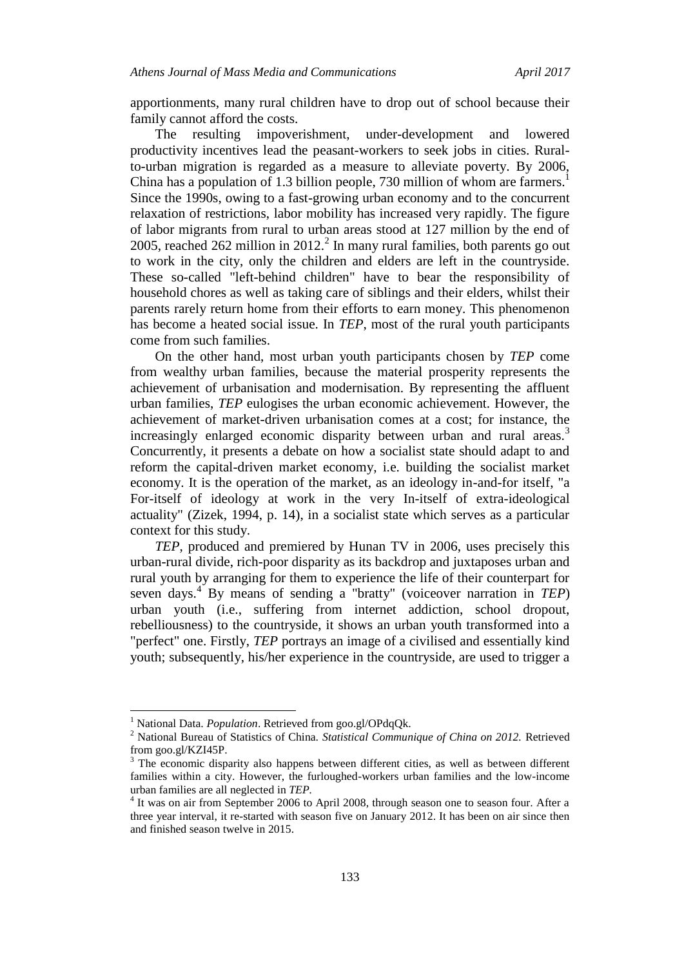apportionments, many rural children have to drop out of school because their family cannot afford the costs.

The resulting impoverishment, under-development and lowered productivity incentives lead the peasant-workers to seek jobs in cities. Ruralto-urban migration is regarded as a measure to alleviate poverty. By 2006, China has a population of 1.3 billion people, 730 million of whom are farmers.<sup>1</sup> Since the 1990s, owing to a fast-growing urban economy and to the concurrent relaxation of restrictions, labor mobility has increased very rapidly. The figure of labor migrants from rural to urban areas stood at 127 million by the end of 2005, reached 262 million in 2012. $^2$  In many rural families, both parents go out to work in the city, only the children and elders are left in the countryside. These so-called "left-behind children" have to bear the responsibility of household chores as well as taking care of siblings and their elders, whilst their parents rarely return home from their efforts to earn money. This phenomenon has become a heated social issue. In *TEP*, most of the rural youth participants come from such families.

On the other hand, most urban youth participants chosen by *TEP* come from wealthy urban families, because the material prosperity represents the achievement of urbanisation and modernisation. By representing the affluent urban families, *TEP* eulogises the urban economic achievement. However, the achievement of market-driven urbanisation comes at a cost; for instance, the increasingly enlarged economic disparity between urban and rural areas.<sup>3</sup> Concurrently, it presents a debate on how a socialist state should adapt to and reform the capital-driven market economy, i.e. building the socialist market economy. It is the operation of the market, as an ideology in-and-for itself, "a For-itself of ideology at work in the very In-itself of extra-ideological actuality" (Zizek, 1994, p. 14), in a socialist state which serves as a particular context for this study.

*TEP*, produced and premiered by Hunan TV in 2006, uses precisely this urban-rural divide, rich-poor disparity as its backdrop and juxtaposes urban and rural youth by arranging for them to experience the life of their counterpart for seven days.<sup>4</sup> By means of sending a "bratty" (voiceover narration in *TEP*) urban youth (i.e., suffering from internet addiction, school dropout, rebelliousness) to the countryside, it shows an urban youth transformed into a "perfect" one. Firstly, *TEP* portrays an image of a civilised and essentially kind youth; subsequently, his/her experience in the countryside, are used to trigger a

 $\overline{a}$ 

<sup>&</sup>lt;sup>1</sup> National Data. *Population*. Retrieved from goo.gl/OPdqQk.

<sup>2</sup> National Bureau of Statistics of China. *Statistical Communique of China on 2012.* Retrieved from goo.gl/KZI45P.<br> $3$  The economic disp

<sup>3</sup> The economic disparity also happens between different cities, as well as between different families within a city. However, the furloughed-workers urban families and the low-income urban families are all neglected in *TEP.*

<sup>&</sup>lt;sup>4</sup> It was on air from September 2006 to April 2008, through season one to season four. After a three year interval, it re-started with season five on January 2012. It has been on air since then and finished season twelve in 2015.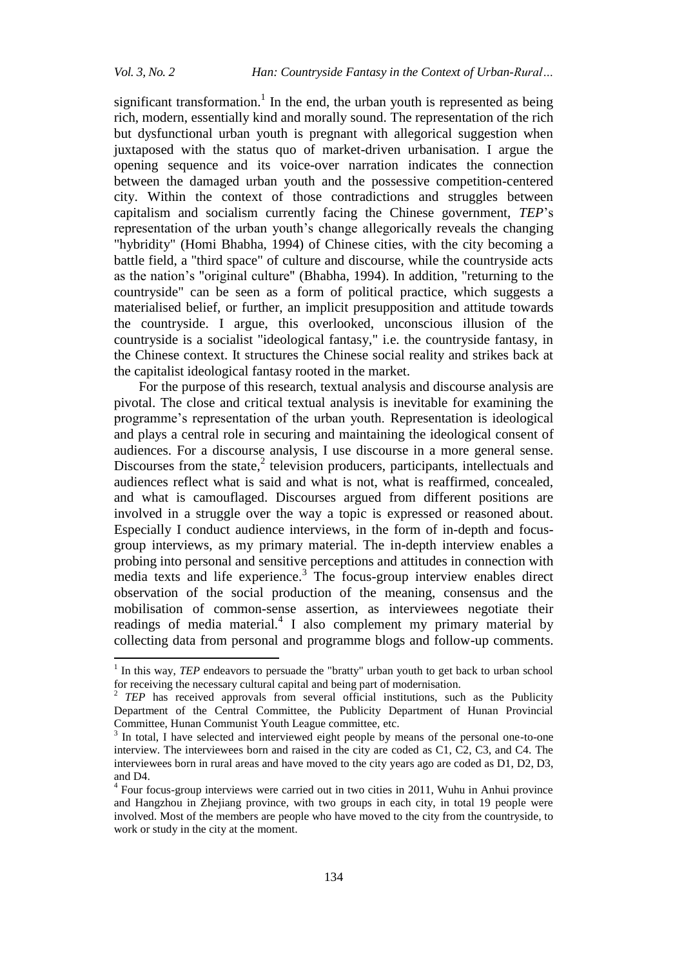1

significant transformation.<sup>1</sup> In the end, the urban youth is represented as being rich, modern, essentially kind and morally sound. The representation of the rich but dysfunctional urban youth is pregnant with allegorical suggestion when juxtaposed with the status quo of market-driven urbanisation. I argue the opening sequence and its voice-over narration indicates the connection between the damaged urban youth and the possessive competition-centered city. Within the context of those contradictions and struggles between capitalism and socialism currently facing the Chinese government, *TEP*'s representation of the urban youth's change allegorically reveals the changing "hybridity" (Homi Bhabha, 1994) of Chinese cities, with the city becoming a battle field, a "third space" of culture and discourse, while the countryside acts as the nation's "original culture" (Bhabha, 1994). In addition, "returning to the countryside" can be seen as a form of political practice, which suggests a materialised belief, or further, an implicit presupposition and attitude towards the countryside. I argue, this overlooked, unconscious illusion of the countryside is a socialist "ideological fantasy," i.e. the countryside fantasy, in the Chinese context. It structures the Chinese social reality and strikes back at the capitalist ideological fantasy rooted in the market.

For the purpose of this research, textual analysis and discourse analysis are pivotal. The close and critical textual analysis is inevitable for examining the programme's representation of the urban youth. Representation is ideological and plays a central role in securing and maintaining the ideological consent of audiences. For a discourse analysis, I use discourse in a more general sense. Discourses from the state, $2$  television producers, participants, intellectuals and audiences reflect what is said and what is not, what is reaffirmed, concealed, and what is camouflaged. Discourses argued from different positions are involved in a struggle over the way a topic is expressed or reasoned about. Especially I conduct audience interviews, in the form of in-depth and focusgroup interviews, as my primary material. The in-depth interview enables a probing into personal and sensitive perceptions and attitudes in connection with media texts and life experience.<sup>3</sup> The focus-group interview enables direct observation of the social production of the meaning, consensus and the mobilisation of common-sense assertion, as interviewees negotiate their readings of media material.<sup>4</sup> I also complement my primary material by collecting data from personal and programme blogs and follow-up comments.

<sup>1</sup> In this way, *TEP* endeavors to persuade the "bratty" urban youth to get back to urban school for receiving the necessary cultural capital and being part of modernisation.

<sup>2</sup> *TEP* has received approvals from several official institutions, such as the Publicity Department of the Central Committee, the Publicity Department of Hunan Provincial Committee, Hunan Communist Youth League committee, etc.

<sup>3</sup> In total, I have selected and interviewed eight people by means of the personal one-to-one interview. The interviewees born and raised in the city are coded as C1, C2, C3, and C4. The interviewees born in rural areas and have moved to the city years ago are coded as D1, D2, D3, and D4.

<sup>&</sup>lt;sup>4</sup> Four focus-group interviews were carried out in two cities in 2011, Wuhu in Anhui province and Hangzhou in Zhejiang province, with two groups in each city, in total 19 people were involved. Most of the members are people who have moved to the city from the countryside, to work or study in the city at the moment.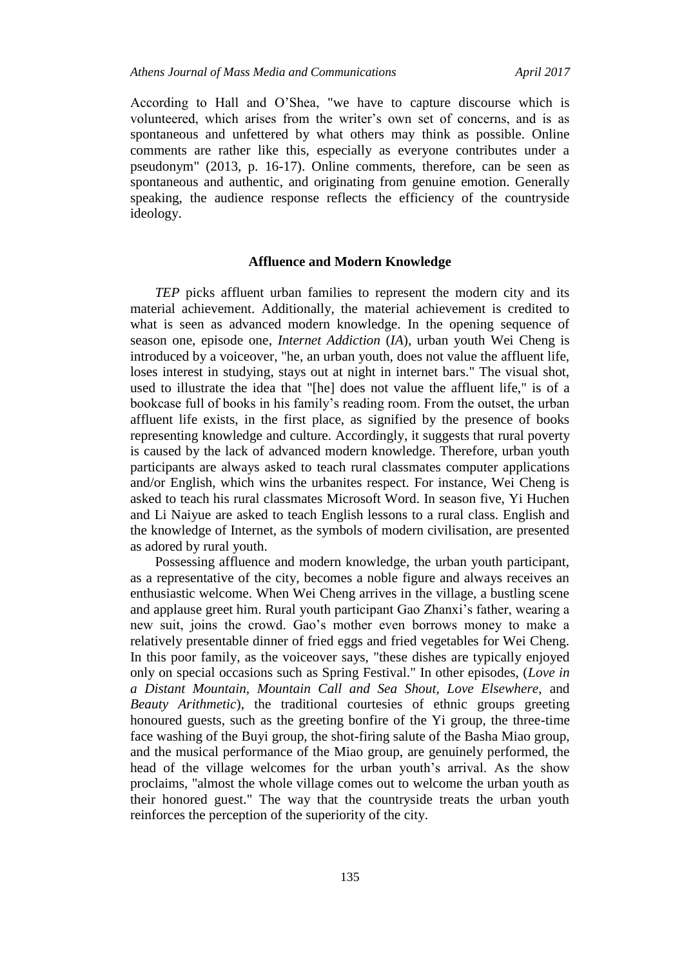According to Hall and O'Shea, "we have to capture discourse which is volunteered, which arises from the writer's own set of concerns, and is as spontaneous and unfettered by what others may think as possible. Online comments are rather like this, especially as everyone contributes under a pseudonym" (2013, p. 16-17). Online comments, therefore, can be seen as spontaneous and authentic, and originating from genuine emotion. Generally speaking, the audience response reflects the efficiency of the countryside ideology.

## **Affluence and Modern Knowledge**

*TEP* picks affluent urban families to represent the modern city and its material achievement. Additionally, the material achievement is credited to what is seen as advanced modern knowledge. In the opening sequence of season one, episode one, *Internet Addiction* (*IA*), urban youth Wei Cheng is introduced by a voiceover, "he, an urban youth, does not value the affluent life, loses interest in studying, stays out at night in internet bars." The visual shot, used to illustrate the idea that "[he] does not value the affluent life," is of a bookcase full of books in his family's reading room. From the outset, the urban affluent life exists, in the first place, as signified by the presence of books representing knowledge and culture. Accordingly, it suggests that rural poverty is caused by the lack of advanced modern knowledge. Therefore, urban youth participants are always asked to teach rural classmates computer applications and/or English, which wins the urbanites respect. For instance, Wei Cheng is asked to teach his rural classmates Microsoft Word. In season five, Yi Huchen and Li Naiyue are asked to teach English lessons to a rural class. English and the knowledge of Internet, as the symbols of modern civilisation, are presented as adored by rural youth.

Possessing affluence and modern knowledge, the urban youth participant, as a representative of the city, becomes a noble figure and always receives an enthusiastic welcome. When Wei Cheng arrives in the village, a bustling scene and applause greet him. Rural youth participant Gao Zhanxi's father, wearing a new suit, joins the crowd. Gao's mother even borrows money to make a relatively presentable dinner of fried eggs and fried vegetables for Wei Cheng. In this poor family, as the voiceover says, "these dishes are typically enjoyed only on special occasions such as Spring Festival." In other episodes, (*Love in a Distant Mountain, Mountain Call and Sea Shout, Love Elsewhere,* and *Beauty Arithmetic*), the traditional courtesies of ethnic groups greeting honoured guests, such as the greeting bonfire of the Yi group, the three-time face washing of the Buyi group, the shot-firing salute of the Basha Miao group, and the musical performance of the Miao group, are genuinely performed, the head of the village welcomes for the urban youth's arrival. As the show proclaims, "almost the whole village comes out to welcome the urban youth as their honored guest." The way that the countryside treats the urban youth reinforces the perception of the superiority of the city.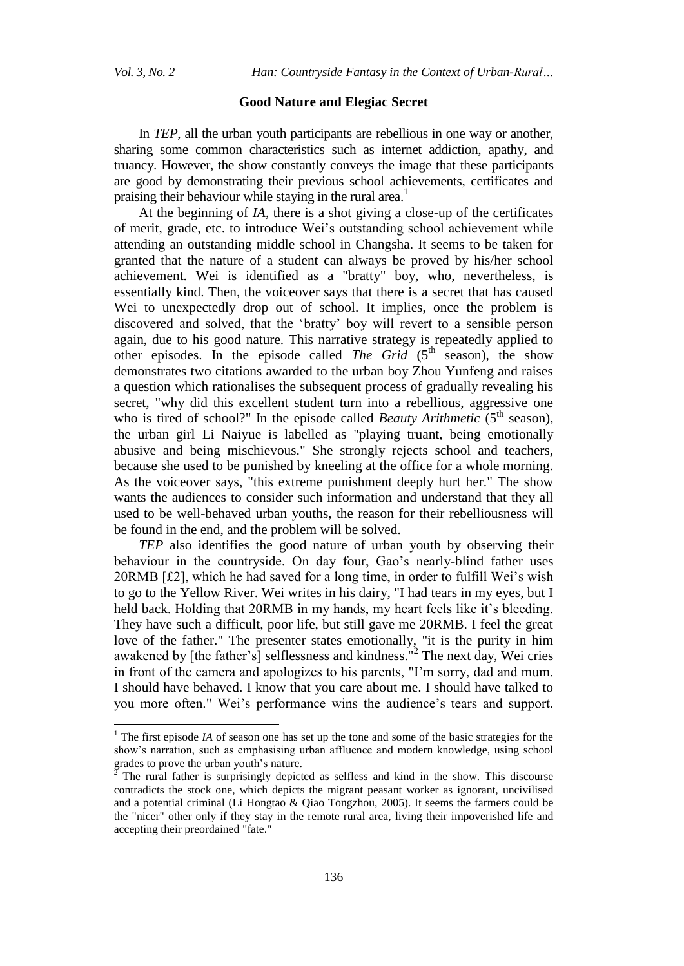$\overline{a}$ 

*Vol. 3, No. 2 Han: Countryside Fantasy in the Context of Urban-Rural…*

#### **Good Nature and Elegiac Secret**

In *TEP*, all the urban youth participants are rebellious in one way or another, sharing some common characteristics such as internet addiction, apathy, and truancy. However, the show constantly conveys the image that these participants are good by demonstrating their previous school achievements, certificates and praising their behaviour while staying in the rural area.<sup>1</sup>

At the beginning of *IA*, there is a shot giving a close-up of the certificates of merit, grade, etc. to introduce Wei's outstanding school achievement while attending an outstanding middle school in Changsha. It seems to be taken for granted that the nature of a student can always be proved by his/her school achievement. Wei is identified as a "bratty" boy, who, nevertheless, is essentially kind. Then, the voiceover says that there is a secret that has caused Wei to unexpectedly drop out of school. It implies, once the problem is discovered and solved, that the 'bratty' boy will revert to a sensible person again, due to his good nature. This narrative strategy is repeatedly applied to other episodes. In the episode called *The Grid*  $(5<sup>th</sup>$  season), the show demonstrates two citations awarded to the urban boy Zhou Yunfeng and raises a question which rationalises the subsequent process of gradually revealing his secret, "why did this excellent student turn into a rebellious, aggressive one who is tired of school?" In the episode called *Beauty Arithmetic* (5<sup>th</sup> season), the urban girl Li Naiyue is labelled as "playing truant, being emotionally abusive and being mischievous." She strongly rejects school and teachers, because she used to be punished by kneeling at the office for a whole morning. As the voiceover says, "this extreme punishment deeply hurt her." The show wants the audiences to consider such information and understand that they all used to be well-behaved urban youths, the reason for their rebelliousness will be found in the end, and the problem will be solved.

*TEP* also identifies the good nature of urban youth by observing their behaviour in the countryside. On day four, Gao's nearly-blind father uses 20RMB [£2], which he had saved for a long time, in order to fulfill Wei's wish to go to the Yellow River. Wei writes in his dairy, "I had tears in my eyes, but I held back. Holding that 20RMB in my hands, my heart feels like it's bleeding. They have such a difficult, poor life, but still gave me 20RMB. I feel the great love of the father." The presenter states emotionally, "it is the purity in him awakened by [the father's] selflessness and kindness."<sup>2</sup> The next day, Wei cries in front of the camera and apologizes to his parents, "I'm sorry, dad and mum. I should have behaved. I know that you care about me. I should have talked to you more often." Wei's performance wins the audience's tears and support.

<sup>&</sup>lt;sup>1</sup> The first episode *IA* of season one has set up the tone and some of the basic strategies for the show's narration, such as emphasising urban affluence and modern knowledge, using school grades to prove the urban youth's nature.

<sup>2</sup> The rural father is surprisingly depicted as selfless and kind in the show. This discourse contradicts the stock one, which depicts the migrant peasant worker as ignorant, uncivilised and a potential criminal (Li Hongtao & Qiao Tongzhou, 2005). It seems the farmers could be the "nicer" other only if they stay in the remote rural area, living their impoverished life and accepting their preordained "fate."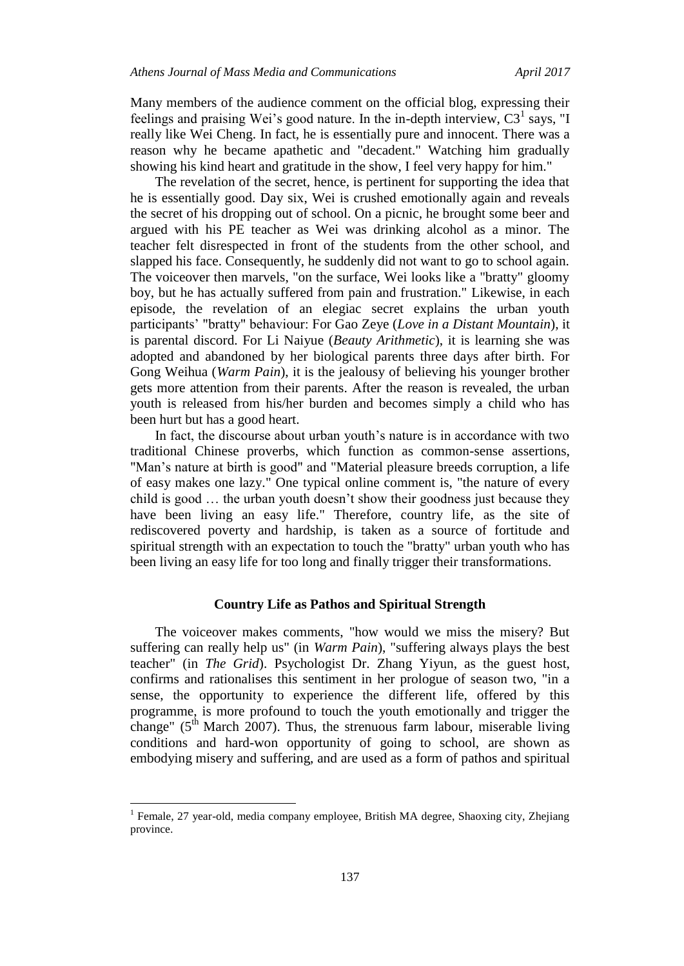Many members of the audience comment on the official blog, expressing their feelings and praising Wei's good nature. In the in-depth interview,  $C3<sup>1</sup>$  says, "I really like Wei Cheng. In fact, he is essentially pure and innocent. There was a reason why he became apathetic and "decadent." Watching him gradually showing his kind heart and gratitude in the show, I feel very happy for him."

The revelation of the secret, hence, is pertinent for supporting the idea that he is essentially good. Day six, Wei is crushed emotionally again and reveals the secret of his dropping out of school. On a picnic, he brought some beer and argued with his PE teacher as Wei was drinking alcohol as a minor. The teacher felt disrespected in front of the students from the other school, and slapped his face. Consequently, he suddenly did not want to go to school again. The voiceover then marvels, "on the surface, Wei looks like a "bratty" gloomy boy, but he has actually suffered from pain and frustration." Likewise, in each episode, the revelation of an elegiac secret explains the urban youth participants' "bratty" behaviour: For Gao Zeye (*Love in a Distant Mountain*), it is parental discord. For Li Naiyue (*Beauty Arithmetic*), it is learning she was adopted and abandoned by her biological parents three days after birth. For Gong Weihua (*Warm Pain*), it is the jealousy of believing his younger brother gets more attention from their parents. After the reason is revealed, the urban youth is released from his/her burden and becomes simply a child who has been hurt but has a good heart.

In fact, the discourse about urban youth's nature is in accordance with two traditional Chinese proverbs, which function as common-sense assertions, "Man's nature at birth is good" and "Material pleasure breeds corruption, a life of easy makes one lazy." One typical online comment is, "the nature of every child is good … the urban youth doesn't show their goodness just because they have been living an easy life." Therefore, country life, as the site of rediscovered poverty and hardship, is taken as a source of fortitude and spiritual strength with an expectation to touch the "bratty" urban youth who has been living an easy life for too long and finally trigger their transformations.

#### **Country Life as Pathos and Spiritual Strength**

The voiceover makes comments, "how would we miss the misery? But suffering can really help us" (in *Warm Pain*), "suffering always plays the best teacher" (in *The Grid*). Psychologist Dr. Zhang Yiyun, as the guest host, confirms and rationalises this sentiment in her prologue of season two, "in a sense, the opportunity to experience the different life, offered by this programme, is more profound to touch the youth emotionally and trigger the change" ( $5<sup>th</sup>$  March 2007). Thus, the strenuous farm labour, miserable living conditions and hard-won opportunity of going to school, are shown as embodying misery and suffering, and are used as a form of pathos and spiritual

<sup>&</sup>lt;sup>1</sup> Female, 27 year-old, media company employee, British MA degree, Shaoxing city, Zhejiang province.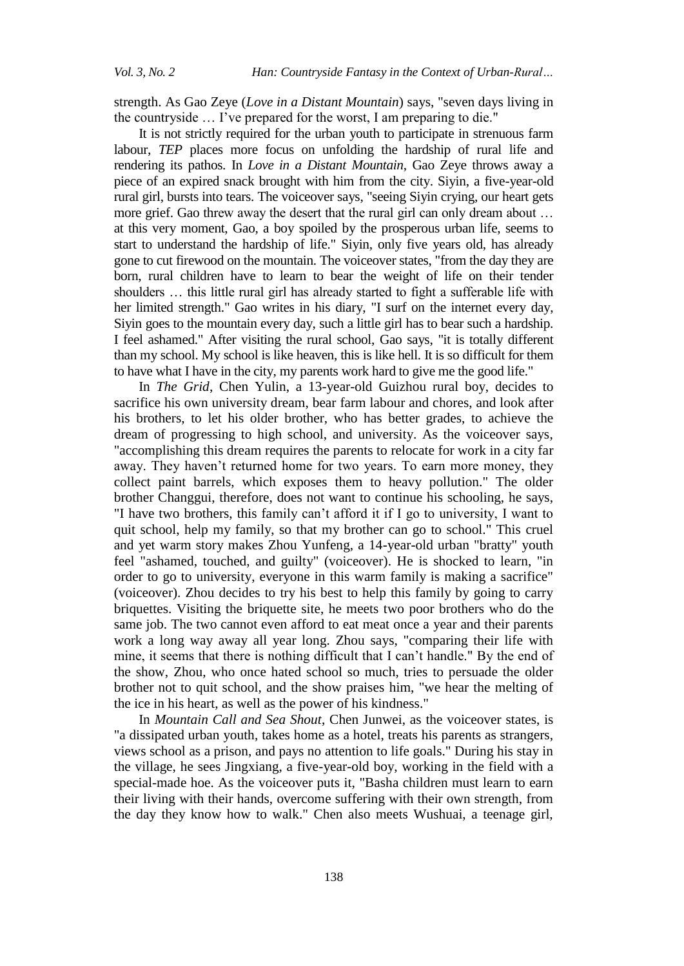strength. As Gao Zeye (*Love in a Distant Mountain*) says, "seven days living in the countryside … I've prepared for the worst, I am preparing to die."

It is not strictly required for the urban youth to participate in strenuous farm labour, *TEP* places more focus on unfolding the hardship of rural life and rendering its pathos. In *Love in a Distant Mountain*, Gao Zeye throws away a piece of an expired snack brought with him from the city. Siyin, a five-year-old rural girl, bursts into tears. The voiceover says, "seeing Siyin crying, our heart gets more grief. Gao threw away the desert that the rural girl can only dream about … at this very moment, Gao, a boy spoiled by the prosperous urban life, seems to start to understand the hardship of life." Siyin, only five years old, has already gone to cut firewood on the mountain. The voiceover states, "from the day they are born, rural children have to learn to bear the weight of life on their tender shoulders … this little rural girl has already started to fight a sufferable life with her limited strength." Gao writes in his diary, "I surf on the internet every day, Siyin goes to the mountain every day, such a little girl has to bear such a hardship. I feel ashamed." After visiting the rural school, Gao says, "it is totally different than my school. My school is like heaven, this is like hell. It is so difficult for them to have what I have in the city, my parents work hard to give me the good life."

In *The Grid*, Chen Yulin, a 13-year-old Guizhou rural boy, decides to sacrifice his own university dream, bear farm labour and chores, and look after his brothers, to let his older brother, who has better grades, to achieve the dream of progressing to high school, and university. As the voiceover says, "accomplishing this dream requires the parents to relocate for work in a city far away. They haven't returned home for two years. To earn more money, they collect paint barrels, which exposes them to heavy pollution." The older brother Changgui, therefore, does not want to continue his schooling, he says, "I have two brothers, this family can't afford it if I go to university, I want to quit school, help my family, so that my brother can go to school." This cruel and yet warm story makes Zhou Yunfeng, a 14-year-old urban "bratty" youth feel "ashamed, touched, and guilty" (voiceover). He is shocked to learn, "in order to go to university, everyone in this warm family is making a sacrifice" (voiceover). Zhou decides to try his best to help this family by going to carry briquettes. Visiting the briquette site, he meets two poor brothers who do the same job. The two cannot even afford to eat meat once a year and their parents work a long way away all year long. Zhou says, "comparing their life with mine, it seems that there is nothing difficult that I can't handle." By the end of the show, Zhou, who once hated school so much, tries to persuade the older brother not to quit school, and the show praises him, "we hear the melting of the ice in his heart, as well as the power of his kindness."

In *Mountain Call and Sea Shout*, Chen Junwei, as the voiceover states, is "a dissipated urban youth, takes home as a hotel, treats his parents as strangers, views school as a prison, and pays no attention to life goals." During his stay in the village, he sees Jingxiang, a five-year-old boy, working in the field with a special-made hoe. As the voiceover puts it, "Basha children must learn to earn their living with their hands, overcome suffering with their own strength, from the day they know how to walk." Chen also meets Wushuai, a teenage girl,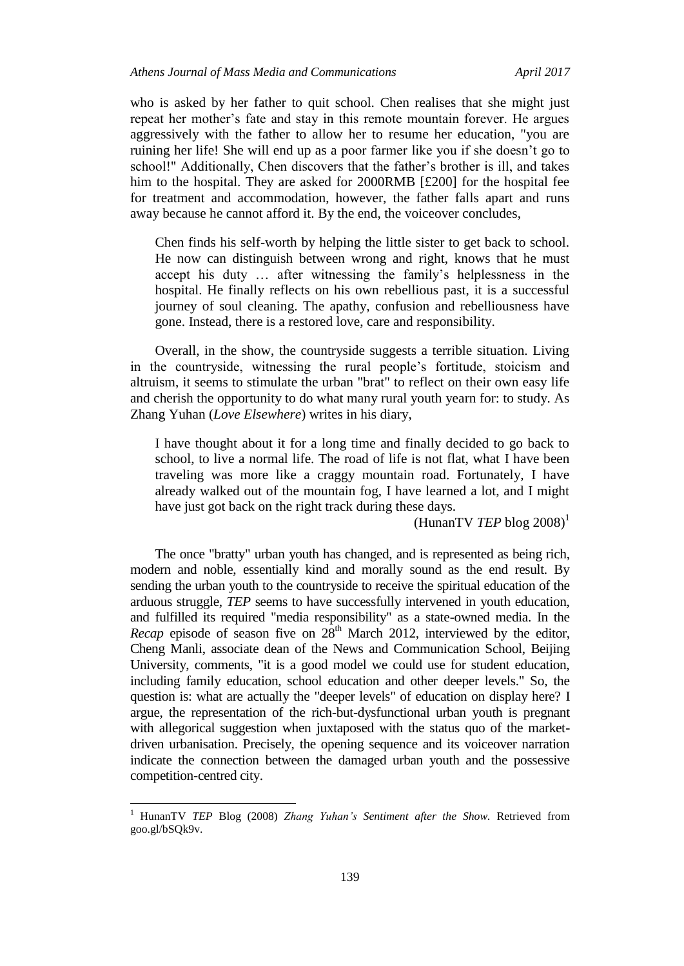who is asked by her father to quit school. Chen realises that she might just repeat her mother's fate and stay in this remote mountain forever. He argues aggressively with the father to allow her to resume her education, "you are ruining her life! She will end up as a poor farmer like you if she doesn't go to school!" Additionally, Chen discovers that the father's brother is ill, and takes him to the hospital. They are asked for 2000RMB [£200] for the hospital fee for treatment and accommodation, however, the father falls apart and runs away because he cannot afford it. By the end, the voiceover concludes,

Chen finds his self-worth by helping the little sister to get back to school. He now can distinguish between wrong and right, knows that he must accept his duty … after witnessing the family's helplessness in the hospital. He finally reflects on his own rebellious past, it is a successful journey of soul cleaning. The apathy, confusion and rebelliousness have gone. Instead, there is a restored love, care and responsibility.

Overall, in the show, the countryside suggests a terrible situation. Living in the countryside, witnessing the rural people's fortitude, stoicism and altruism, it seems to stimulate the urban "brat" to reflect on their own easy life and cherish the opportunity to do what many rural youth yearn for: to study. As Zhang Yuhan (*Love Elsewhere*) writes in his diary,

I have thought about it for a long time and finally decided to go back to school, to live a normal life. The road of life is not flat, what I have been traveling was more like a craggy mountain road. Fortunately, I have already walked out of the mountain fog, I have learned a lot, and I might have just got back on the right track during these days.

(HunanTV *TEP* blog  $2008$ )<sup>1</sup>

The once "bratty" urban youth has changed, and is represented as being rich, modern and noble, essentially kind and morally sound as the end result. By sending the urban youth to the countryside to receive the spiritual education of the arduous struggle, *TEP* seems to have successfully intervened in youth education, and fulfilled its required "media responsibility" as a state-owned media. In the *Recap* episode of season five on  $28<sup>th</sup>$  March 2012, interviewed by the editor, Cheng Manli, associate dean of the News and Communication School, Beijing University, comments, "it is a good model we could use for student education, including family education, school education and other deeper levels." So, the question is: what are actually the "deeper levels" of education on display here? I argue, the representation of the rich-but-dysfunctional urban youth is pregnant with allegorical suggestion when juxtaposed with the status quo of the marketdriven urbanisation. Precisely, the opening sequence and its voiceover narration indicate the connection between the damaged urban youth and the possessive competition-centred city.

<sup>1</sup> HunanTV *TEP* Blog (2008) *Zhang Yuhan's Sentiment after the Show.* Retrieved from goo.gl/bSQk9v.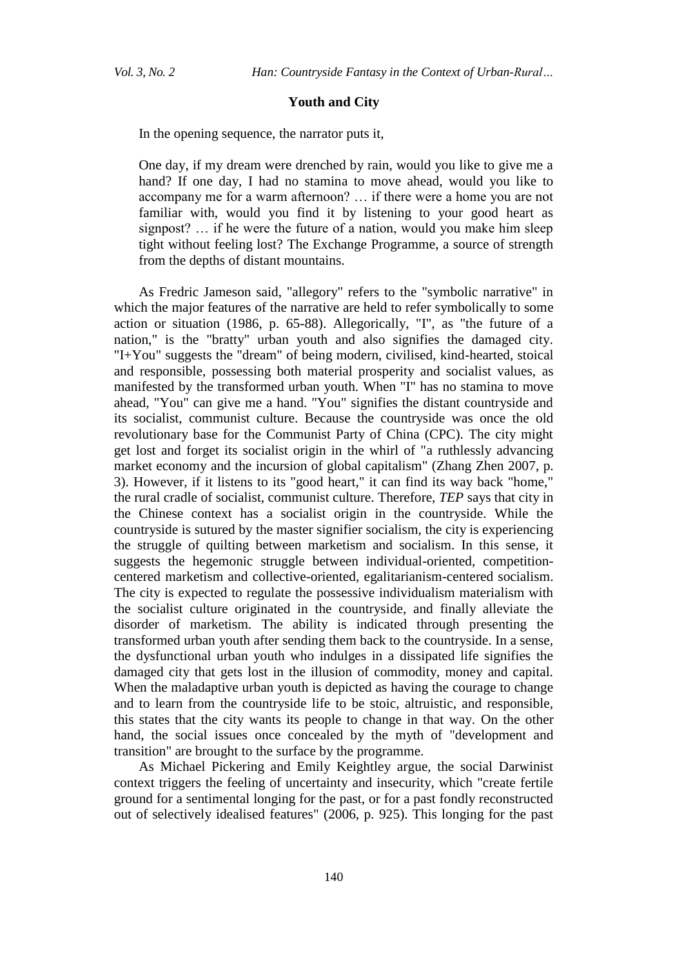## **Youth and City**

In the opening sequence, the narrator puts it,

One day, if my dream were drenched by rain, would you like to give me a hand? If one day, I had no stamina to move ahead, would you like to accompany me for a warm afternoon? … if there were a home you are not familiar with, would you find it by listening to your good heart as signpost? … if he were the future of a nation, would you make him sleep tight without feeling lost? The Exchange Programme, a source of strength from the depths of distant mountains.

As Fredric Jameson said, "allegory" refers to the "symbolic narrative" in which the major features of the narrative are held to refer symbolically to some action or situation (1986, p. 65-88). Allegorically, "I", as "the future of a nation," is the "bratty" urban youth and also signifies the damaged city. "I+You" suggests the "dream" of being modern, civilised, kind-hearted, stoical and responsible, possessing both material prosperity and socialist values, as manifested by the transformed urban youth. When "I" has no stamina to move ahead, "You" can give me a hand. "You" signifies the distant countryside and its socialist, communist culture. Because the countryside was once the old revolutionary base for the Communist Party of China (CPC). The city might get lost and forget its socialist origin in the whirl of "a ruthlessly advancing market economy and the incursion of global capitalism" (Zhang Zhen 2007, p. 3). However, if it listens to its "good heart," it can find its way back "home," the rural cradle of socialist, communist culture. Therefore, *TEP* says that city in the Chinese context has a socialist origin in the countryside. While the countryside is sutured by the master signifier socialism, the city is experiencing the struggle of quilting between marketism and socialism. In this sense, it suggests the hegemonic struggle between individual-oriented, competitioncentered marketism and collective-oriented, egalitarianism-centered socialism. The city is expected to regulate the possessive individualism materialism with the socialist culture originated in the countryside, and finally alleviate the disorder of marketism. The ability is indicated through presenting the transformed urban youth after sending them back to the countryside. In a sense, the dysfunctional urban youth who indulges in a dissipated life signifies the damaged city that gets lost in the illusion of commodity, money and capital. When the maladaptive urban youth is depicted as having the courage to change and to learn from the countryside life to be stoic, altruistic, and responsible, this states that the city wants its people to change in that way. On the other hand, the social issues once concealed by the myth of "development and transition" are brought to the surface by the programme.

As Michael Pickering and Emily Keightley argue, the social Darwinist context triggers the feeling of uncertainty and insecurity, which "create fertile ground for a sentimental longing for the past, or for a past fondly reconstructed out of selectively idealised features" (2006, p. 925). This longing for the past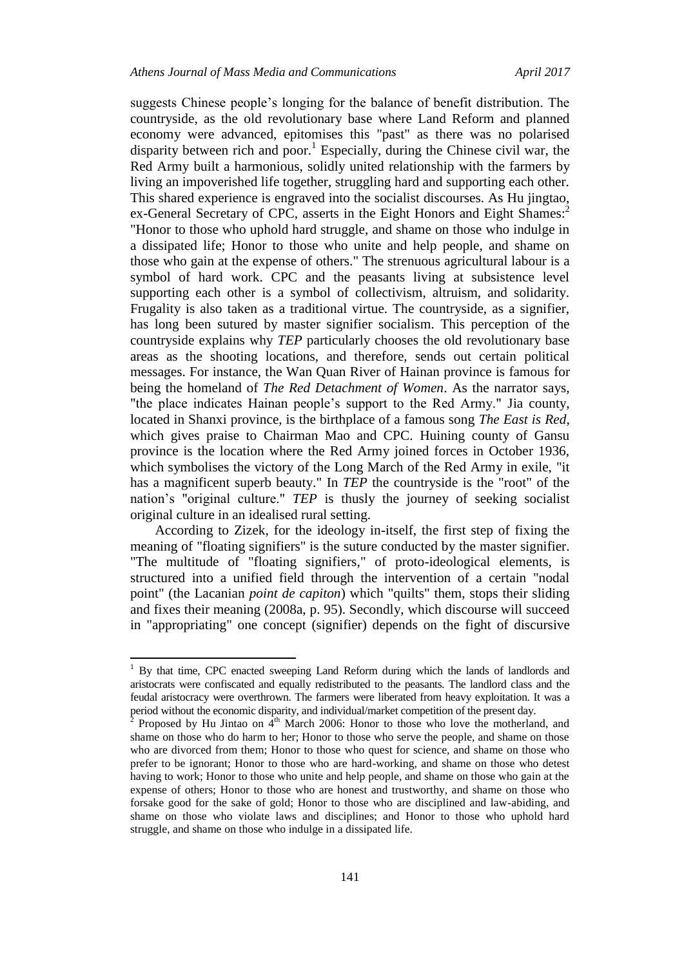suggests Chinese people's longing for the balance of benefit distribution. The countryside, as the old revolutionary base where Land Reform and planned economy were advanced, epitomises this "past" as there was no polarised disparity between rich and poor.<sup>1</sup> Especially, during the Chinese civil war, the Red Army built a harmonious, solidly united relationship with the farmers by living an impoverished life together, struggling hard and supporting each other. This shared experience is engraved into the socialist discourses. As Hu jingtao, ex-General Secretary of CPC, asserts in the Eight Honors and Eight Shames:<sup>2</sup> "Honor to those who uphold hard struggle, and shame on those who indulge in a dissipated life; Honor to those who unite and help people, and shame on those who gain at the expense of others." The strenuous agricultural labour is a symbol of hard work. CPC and the peasants living at subsistence level supporting each other is a symbol of collectivism, altruism, and solidarity. Frugality is also taken as a traditional virtue. The countryside, as a signifier, has long been sutured by master signifier socialism. This perception of the countryside explains why *TEP* particularly chooses the old revolutionary base areas as the shooting locations, and therefore, sends out certain political messages. For instance, the Wan Quan River of Hainan province is famous for being the homeland of *The Red Detachment of Women*. As the narrator says, "the place indicates Hainan people's support to the Red Army." Jia county, located in Shanxi province, is the birthplace of a famous song *The East is Red*, which gives praise to Chairman Mao and CPC. Huining county of Gansu province is the location where the Red Army joined forces in October 1936, which symbolises the victory of the Long March of the Red Army in exile, "it has a magnificent superb beauty." In *TEP* the countryside is the "root" of the nation's "original culture." *TEP* is thusly the journey of seeking socialist original culture in an idealised rural setting.

According to Zizek, for the ideology in-itself, the first step of fixing the meaning of "floating signifiers" is the suture conducted by the master signifier. "The multitude of "floating signifiers," of proto-ideological elements, is structured into a unified field through the intervention of a certain "nodal point" (the Lacanian *point de capiton*) which "quilts" them, stops their sliding and fixes their meaning (2008a, p. 95). Secondly, which discourse will succeed in "appropriating" one concept (signifier) depends on the fight of discursive

 $\overline{a}$ 

<sup>&</sup>lt;sup>1</sup> By that time, CPC enacted sweeping Land Reform during which the lands of landlords and aristocrats were confiscated and equally redistributed to the peasants. The landlord class and the feudal aristocracy were overthrown. The farmers were liberated from heavy exploitation. It was a period without the economic disparity, and individual/market competition of the present day.

<sup>2</sup> Proposed by Hu Jintao on  $4<sup>th</sup>$  March 2006: Honor to those who love the motherland, and shame on those who do harm to her; Honor to those who serve the people, and shame on those who are divorced from them; Honor to those who quest for science, and shame on those who prefer to be ignorant; Honor to those who are hard-working, and shame on those who detest having to work; Honor to those who unite and help people, and shame on those who gain at the expense of others; Honor to those who are honest and trustworthy, and shame on those who forsake good for the sake of gold; Honor to those who are disciplined and law-abiding, and shame on those who violate laws and disciplines; and Honor to those who uphold hard struggle, and shame on those who indulge in a dissipated life.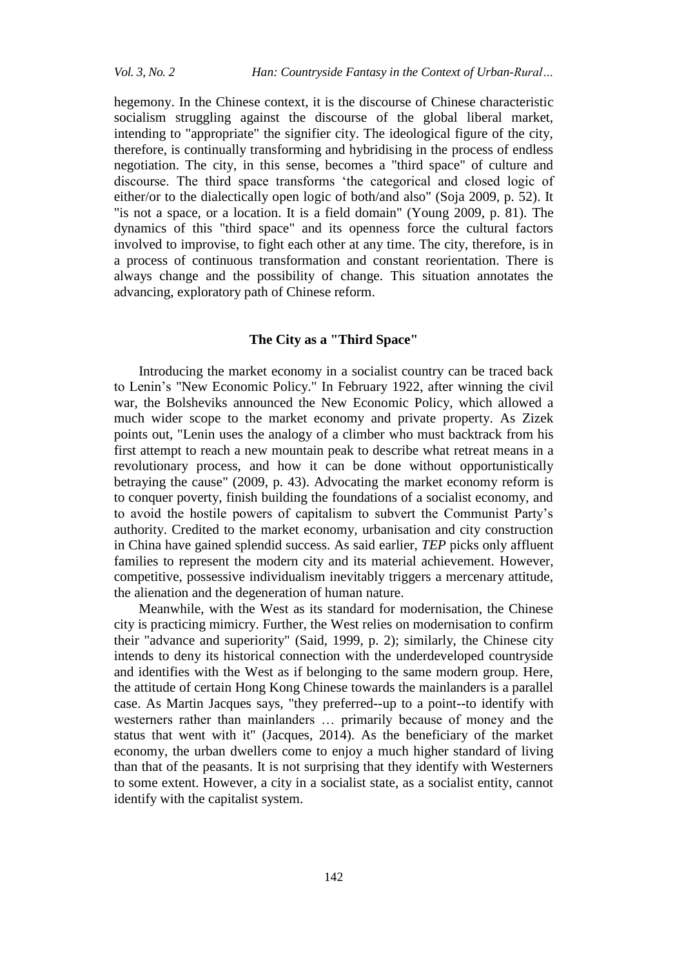hegemony. In the Chinese context, it is the discourse of Chinese characteristic socialism struggling against the discourse of the global liberal market, intending to "appropriate" the signifier city. The ideological figure of the city, therefore, is continually transforming and hybridising in the process of endless negotiation. The city, in this sense, becomes a "third space" of culture and discourse. The third space transforms 'the categorical and closed logic of either/or to the dialectically open logic of both/and also" (Soja 2009, p. 52). It "is not a space, or a location. It is a field domain" (Young 2009, p. 81). The dynamics of this "third space" and its openness force the cultural factors involved to improvise, to fight each other at any time. The city, therefore, is in a process of continuous transformation and constant reorientation. There is always change and the possibility of change. This situation annotates the advancing, exploratory path of Chinese reform.

## **The City as a "Third Space"**

Introducing the market economy in a socialist country can be traced back to Lenin's "New Economic Policy." In February 1922, after winning the civil war, the Bolsheviks announced the New Economic Policy, which allowed a much wider scope to the market economy and private property. As Zizek points out, "Lenin uses the analogy of a climber who must backtrack from his first attempt to reach a new mountain peak to describe what retreat means in a revolutionary process, and how it can be done without opportunistically betraying the cause" (2009, p. 43). Advocating the market economy reform is to conquer poverty, finish building the foundations of a socialist economy, and to avoid the hostile powers of capitalism to subvert the Communist Party's authority. Credited to the market economy, urbanisation and city construction in China have gained splendid success. As said earlier, *TEP* picks only affluent families to represent the modern city and its material achievement. However, competitive, possessive individualism inevitably triggers a mercenary attitude, the alienation and the degeneration of human nature.

Meanwhile, with the West as its standard for modernisation, the Chinese city is practicing mimicry. Further, the West relies on modernisation to confirm their "advance and superiority" (Said, 1999, p. 2); similarly, the Chinese city intends to deny its historical connection with the underdeveloped countryside and identifies with the West as if belonging to the same modern group. Here, the attitude of certain Hong Kong Chinese towards the mainlanders is a parallel case. As Martin Jacques says, "they preferred--up to a point--to identify with westerners rather than mainlanders … primarily because of money and the status that went with it" (Jacques, 2014). As the beneficiary of the market economy, the urban dwellers come to enjoy a much higher standard of living than that of the peasants. It is not surprising that they identify with Westerners to some extent. However, a city in a socialist state, as a socialist entity, cannot identify with the capitalist system.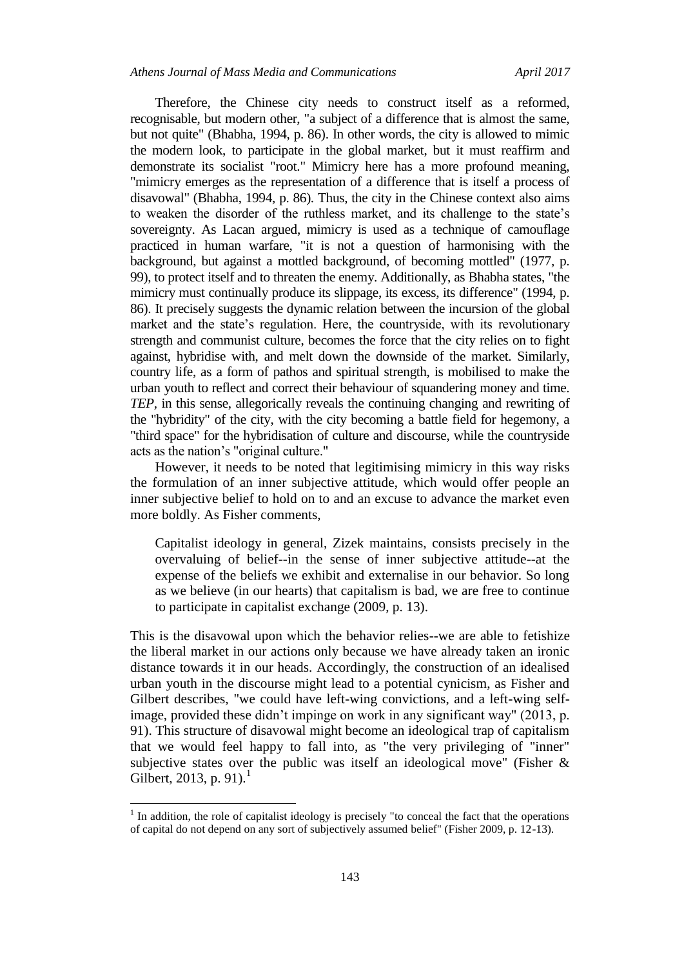Therefore, the Chinese city needs to construct itself as a reformed, recognisable, but modern other, "a subject of a difference that is almost the same, but not quite" (Bhabha, 1994, p. 86). In other words, the city is allowed to mimic the modern look, to participate in the global market, but it must reaffirm and demonstrate its socialist "root." Mimicry here has a more profound meaning, "mimicry emerges as the representation of a difference that is itself a process of disavowal" (Bhabha, 1994, p. 86). Thus, the city in the Chinese context also aims to weaken the disorder of the ruthless market, and its challenge to the state's sovereignty. As Lacan argued, mimicry is used as a technique of camouflage practiced in human warfare, "it is not a question of harmonising with the background, but against a mottled background, of becoming mottled" (1977, p. 99), to protect itself and to threaten the enemy. Additionally, as Bhabha states, "the mimicry must continually produce its slippage, its excess, its difference" (1994, p. 86). It precisely suggests the dynamic relation between the incursion of the global market and the state's regulation. Here, the countryside, with its revolutionary strength and communist culture, becomes the force that the city relies on to fight against, hybridise with, and melt down the downside of the market. Similarly, country life, as a form of pathos and spiritual strength, is mobilised to make the urban youth to reflect and correct their behaviour of squandering money and time. *TEP,* in this sense, allegorically reveals the continuing changing and rewriting of the "hybridity" of the city, with the city becoming a battle field for hegemony, a "third space" for the hybridisation of culture and discourse, while the countryside acts as the nation's "original culture."

However, it needs to be noted that legitimising mimicry in this way risks the formulation of an inner subjective attitude, which would offer people an inner subjective belief to hold on to and an excuse to advance the market even more boldly. As Fisher comments,

Capitalist ideology in general, Zizek maintains, consists precisely in the overvaluing of belief--in the sense of inner subjective attitude--at the expense of the beliefs we exhibit and externalise in our behavior. So long as we believe (in our hearts) that capitalism is bad, we are free to continue to participate in capitalist exchange (2009, p. 13).

This is the disavowal upon which the behavior relies--we are able to fetishize the liberal market in our actions only because we have already taken an ironic distance towards it in our heads. Accordingly, the construction of an idealised urban youth in the discourse might lead to a potential cynicism, as Fisher and Gilbert describes, "we could have left-wing convictions, and a left-wing selfimage, provided these didn't impinge on work in any significant way" (2013, p. 91). This structure of disavowal might become an ideological trap of capitalism that we would feel happy to fall into, as "the very privileging of "inner" subjective states over the public was itself an ideological move" (Fisher & Gilbert, 2013, p. 91).

 $<sup>1</sup>$  In addition, the role of capitalist ideology is precisely "to conceal the fact that the operations</sup> of capital do not depend on any sort of subjectively assumed belief" (Fisher 2009, p. 12-13).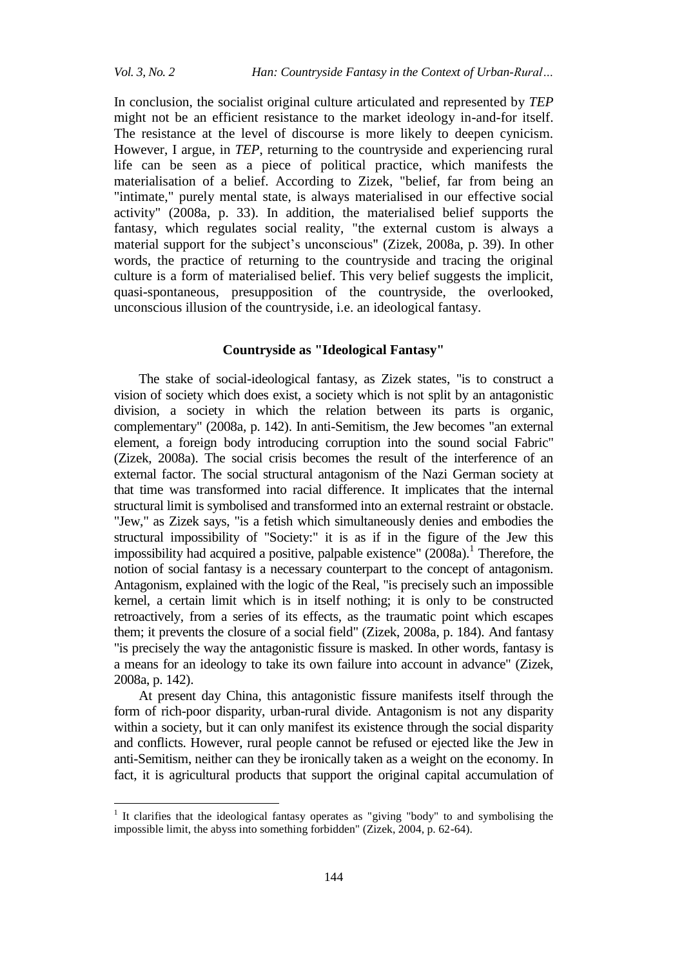$\overline{a}$ 

In conclusion, the socialist original culture articulated and represented by *TEP* might not be an efficient resistance to the market ideology in-and-for itself. The resistance at the level of discourse is more likely to deepen cynicism. However, I argue, in *TEP*, returning to the countryside and experiencing rural life can be seen as a piece of political practice, which manifests the materialisation of a belief. According to Zizek, "belief, far from being an "intimate," purely mental state, is always materialised in our effective social activity" (2008a, p. 33). In addition, the materialised belief supports the fantasy, which regulates social reality, "the external custom is always a material support for the subject's unconscious" (Zizek, 2008a, p. 39). In other words, the practice of returning to the countryside and tracing the original culture is a form of materialised belief. This very belief suggests the implicit, quasi-spontaneous, presupposition of the countryside, the overlooked, unconscious illusion of the countryside, i.e. an ideological fantasy.

## **Countryside as "Ideological Fantasy"**

The stake of social-ideological fantasy, as Zizek states, "is to construct a vision of society which does exist, a society which is not split by an antagonistic division, a society in which the relation between its parts is organic, complementary" (2008a, p. 142). In anti-Semitism, the Jew becomes "an external element, a foreign body introducing corruption into the sound social Fabric" (Zizek, 2008a). The social crisis becomes the result of the interference of an external factor. The social structural antagonism of the Nazi German society at that time was transformed into racial difference. It implicates that the internal structural limit is symbolised and transformed into an external restraint or obstacle. "Jew," as Zizek says, "is a fetish which simultaneously denies and embodies the structural impossibility of "Society:" it is as if in the figure of the Jew this impossibility had acquired a positive, palpable existence" (2008a).<sup>1</sup> Therefore, the notion of social fantasy is a necessary counterpart to the concept of antagonism. Antagonism, explained with the logic of the Real, "is precisely such an impossible kernel, a certain limit which is in itself nothing; it is only to be constructed retroactively, from a series of its effects, as the traumatic point which escapes them; it prevents the closure of a social field" (Zizek, 2008a, p. 184). And fantasy "is precisely the way the antagonistic fissure is masked. In other words, fantasy is a means for an ideology to take its own failure into account in advance" (Zizek, 2008a, p. 142).

At present day China, this antagonistic fissure manifests itself through the form of rich-poor disparity, urban-rural divide. Antagonism is not any disparity within a society, but it can only manifest its existence through the social disparity and conflicts. However, rural people cannot be refused or ejected like the Jew in anti-Semitism, neither can they be ironically taken as a weight on the economy. In fact, it is agricultural products that support the original capital accumulation of

<sup>1</sup> It clarifies that the ideological fantasy operates as "giving "body" to and symbolising the impossible limit, the abyss into something forbidden" (Zizek, 2004, p. 62-64).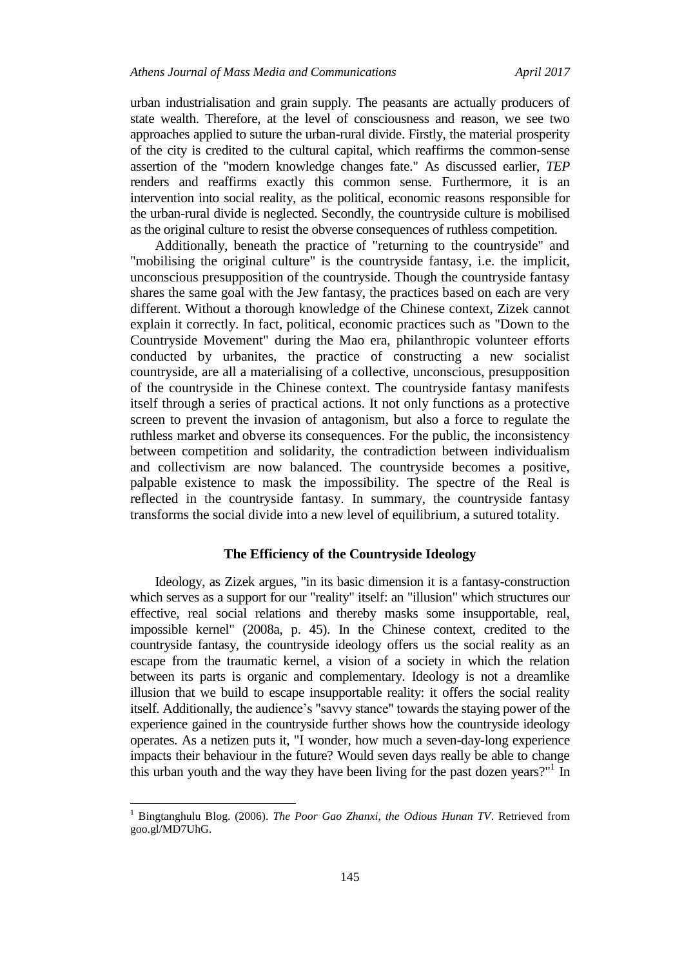urban industrialisation and grain supply. The peasants are actually producers of state wealth. Therefore, at the level of consciousness and reason, we see two approaches applied to suture the urban-rural divide. Firstly, the material prosperity of the city is credited to the cultural capital, which reaffirms the common-sense assertion of the "modern knowledge changes fate." As discussed earlier, *TEP* renders and reaffirms exactly this common sense. Furthermore, it is an intervention into social reality, as the political, economic reasons responsible for the urban-rural divide is neglected. Secondly, the countryside culture is mobilised as the original culture to resist the obverse consequences of ruthless competition.

Additionally, beneath the practice of "returning to the countryside" and "mobilising the original culture" is the countryside fantasy, i.e. the implicit, unconscious presupposition of the countryside. Though the countryside fantasy shares the same goal with the Jew fantasy, the practices based on each are very different. Without a thorough knowledge of the Chinese context, Zizek cannot explain it correctly. In fact, political, economic practices such as "Down to the Countryside Movement" during the Mao era, philanthropic volunteer efforts conducted by urbanites, the practice of constructing a new socialist countryside, are all a materialising of a collective, unconscious, presupposition of the countryside in the Chinese context. The countryside fantasy manifests itself through a series of practical actions. It not only functions as a protective screen to prevent the invasion of antagonism, but also a force to regulate the ruthless market and obverse its consequences. For the public, the inconsistency between competition and solidarity, the contradiction between individualism and collectivism are now balanced. The countryside becomes a positive, palpable existence to mask the impossibility. The spectre of the Real is reflected in the countryside fantasy. In summary, the countryside fantasy transforms the social divide into a new level of equilibrium, a sutured totality.

### **The Efficiency of the Countryside Ideology**

Ideology, as Zizek argues, "in its basic dimension it is a fantasy-construction which serves as a support for our "reality" itself: an "illusion" which structures our effective, real social relations and thereby masks some insupportable, real, impossible kernel" (2008a, p. 45). In the Chinese context, credited to the countryside fantasy, the countryside ideology offers us the social reality as an escape from the traumatic kernel, a vision of a society in which the relation between its parts is organic and complementary. Ideology is not a dreamlike illusion that we build to escape insupportable reality: it offers the social reality itself. Additionally, the audience's "savvy stance" towards the staying power of the experience gained in the countryside further shows how the countryside ideology operates. As a netizen puts it, "I wonder, how much a seven-day-long experience impacts their behaviour in the future? Would seven days really be able to change this urban youth and the way they have been living for the past dozen years?" $\overline{I}$  In

<sup>1</sup> Bingtanghulu Blog. (2006). *The Poor Gao Zhanxi, the Odious Hunan TV*. Retrieved from goo.gl/MD7UhG.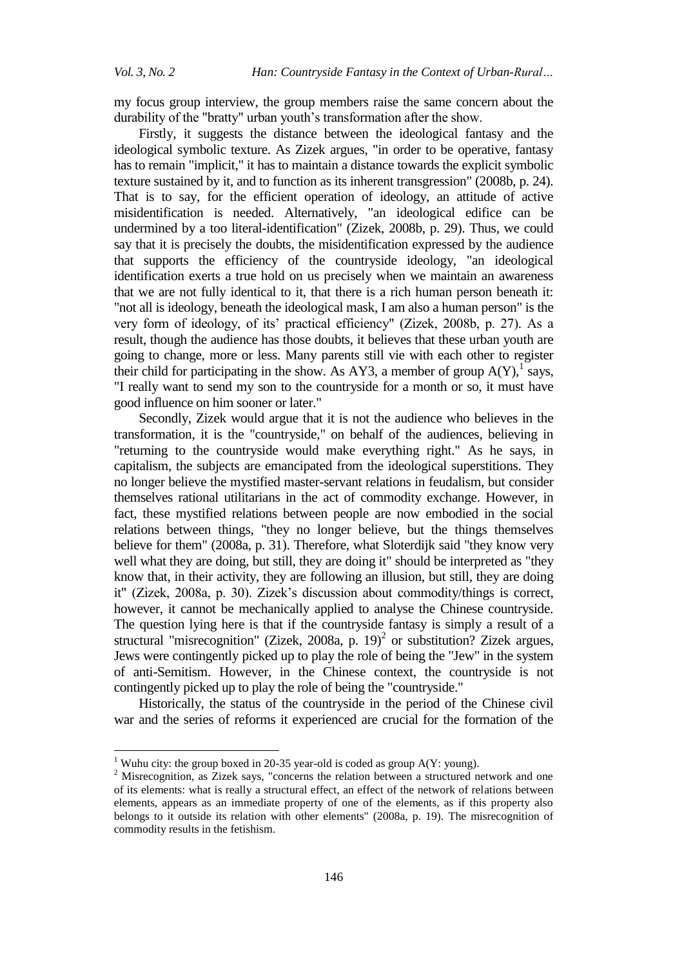$\ddot{\phantom{a}}$ 

my focus group interview, the group members raise the same concern about the durability of the "bratty" urban youth's transformation after the show.

Firstly, it suggests the distance between the ideological fantasy and the ideological symbolic texture. As Zizek argues, "in order to be operative, fantasy has to remain "implicit," it has to maintain a distance towards the explicit symbolic texture sustained by it, and to function as its inherent transgression" (2008b, p. 24). That is to say, for the efficient operation of ideology, an attitude of active misidentification is needed. Alternatively, "an ideological edifice can be undermined by a too literal-identification" (Zizek, 2008b, p. 29). Thus, we could say that it is precisely the doubts, the misidentification expressed by the audience that supports the efficiency of the countryside ideology, "an ideological identification exerts a true hold on us precisely when we maintain an awareness that we are not fully identical to it, that there is a rich human person beneath it: "not all is ideology, beneath the ideological mask, I am also a human person" is the very form of ideology, of its' practical efficiency" (Zizek, 2008b, p. 27). As a result, though the audience has those doubts, it believes that these urban youth are going to change, more or less. Many parents still vie with each other to register their child for participating in the show. As AY3, a member of group  $A(Y)$ , says, "I really want to send my son to the countryside for a month or so, it must have good influence on him sooner or later."

Secondly, Zizek would argue that it is not the audience who believes in the transformation, it is the "countryside," on behalf of the audiences, believing in "returning to the countryside would make everything right." As he says, in capitalism, the subjects are emancipated from the ideological superstitions. They no longer believe the mystified master-servant relations in feudalism, but consider themselves rational utilitarians in the act of commodity exchange. However, in fact, these mystified relations between people are now embodied in the social relations between things, "they no longer believe, but the things themselves believe for them" (2008a, p. 31). Therefore, what Sloterdijk said "they know very well what they are doing, but still, they are doing it" should be interpreted as "they know that, in their activity, they are following an illusion, but still, they are doing it" (Zizek, 2008a, p. 30). Zizek's discussion about commodity/things is correct, however, it cannot be mechanically applied to analyse the Chinese countryside. The question lying here is that if the countryside fantasy is simply a result of a structural "misrecognition" (Zizek, 2008a, p. 19)<sup>2</sup> or substitution? Zizek argues, Jews were contingently picked up to play the role of being the "Jew" in the system of anti-Semitism. However, in the Chinese context, the countryside is not contingently picked up to play the role of being the "countryside."

Historically, the status of the countryside in the period of the Chinese civil war and the series of reforms it experienced are crucial for the formation of the

<sup>&</sup>lt;sup>1</sup> Wuhu city: the group boxed in 20-35 year-old is coded as group  $A(Y: young)$ .

<sup>&</sup>lt;sup>2</sup> Misrecognition, as Zizek says, "concerns the relation between a structured network and one of its elements: what is really a structural effect, an effect of the network of relations between elements, appears as an immediate property of one of the elements, as if this property also belongs to it outside its relation with other elements" (2008a, p. 19). The misrecognition of commodity results in the fetishism.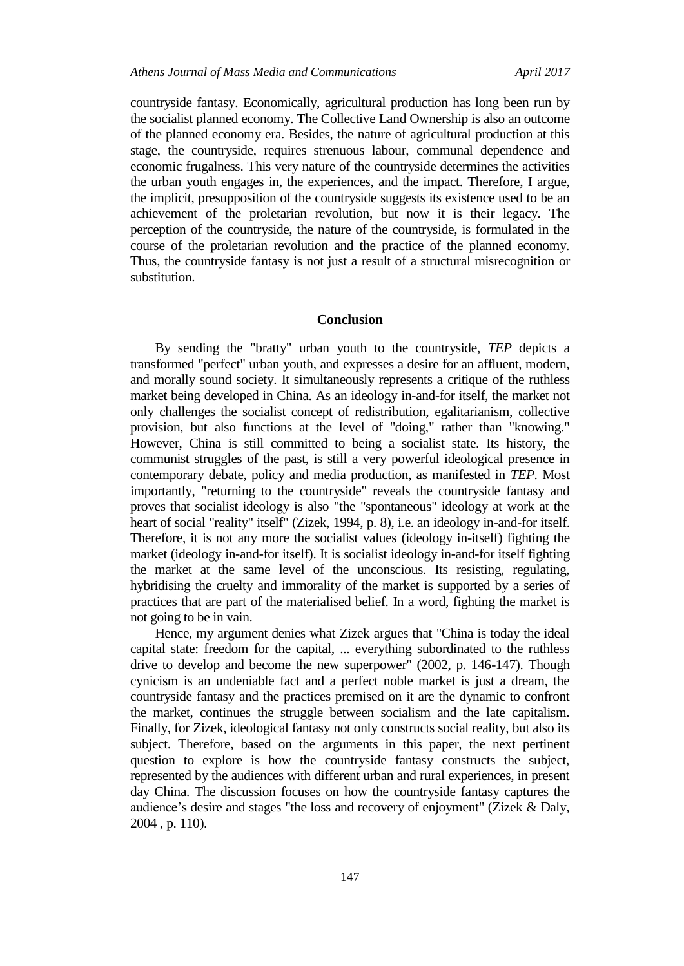countryside fantasy. Economically, agricultural production has long been run by the socialist planned economy. The Collective Land Ownership is also an outcome of the planned economy era. Besides, the nature of agricultural production at this stage, the countryside, requires strenuous labour, communal dependence and economic frugalness. This very nature of the countryside determines the activities the urban youth engages in, the experiences, and the impact. Therefore, I argue, the implicit, presupposition of the countryside suggests its existence used to be an achievement of the proletarian revolution, but now it is their legacy. The perception of the countryside, the nature of the countryside, is formulated in the course of the proletarian revolution and the practice of the planned economy. Thus, the countryside fantasy is not just a result of a structural misrecognition or substitution.

#### **Conclusion**

By sending the "bratty" urban youth to the countryside, *TEP* depicts a transformed "perfect" urban youth, and expresses a desire for an affluent, modern, and morally sound society. It simultaneously represents a critique of the ruthless market being developed in China. As an ideology in-and-for itself, the market not only challenges the socialist concept of redistribution, egalitarianism, collective provision, but also functions at the level of "doing," rather than "knowing." However, China is still committed to being a socialist state. Its history, the communist struggles of the past, is still a very powerful ideological presence in contemporary debate, policy and media production, as manifested in *TEP*. Most importantly, "returning to the countryside" reveals the countryside fantasy and proves that socialist ideology is also "the "spontaneous" ideology at work at the heart of social "reality" itself" (Zizek, 1994, p. 8), i.e. an ideology in-and-for itself. Therefore, it is not any more the socialist values (ideology in-itself) fighting the market (ideology in-and-for itself). It is socialist ideology in-and-for itself fighting the market at the same level of the unconscious. Its resisting, regulating, hybridising the cruelty and immorality of the market is supported by a series of practices that are part of the materialised belief. In a word, fighting the market is not going to be in vain.

Hence, my argument denies what Zizek argues that "China is today the ideal capital state: freedom for the capital, ... everything subordinated to the ruthless drive to develop and become the new superpower" (2002, p. 146-147). Though cynicism is an undeniable fact and a perfect noble market is just a dream, the countryside fantasy and the practices premised on it are the dynamic to confront the market, continues the struggle between socialism and the late capitalism. Finally, for Zizek, ideological fantasy not only constructs social reality, but also its subject. Therefore, based on the arguments in this paper, the next pertinent question to explore is how the countryside fantasy constructs the subject, represented by the audiences with different urban and rural experiences, in present day China. The discussion focuses on how the countryside fantasy captures the audience's desire and stages "the loss and recovery of enjoyment" (Zizek & Daly, 2004 , p. 110).